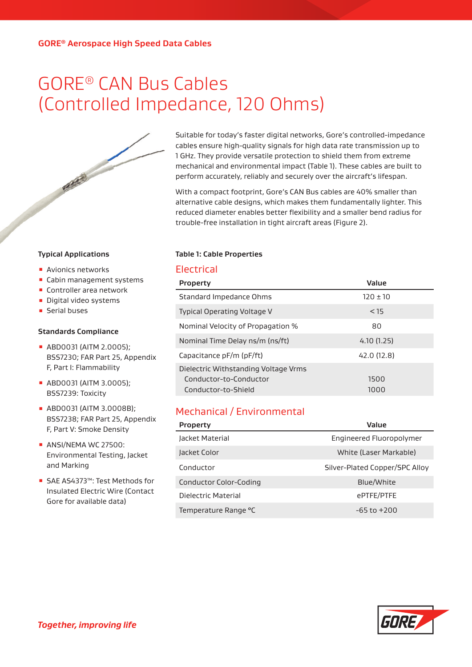# GORE® CAN Bus Cables (Controlled Impedance, 120 Ohms)



Suitable for today's faster digital networks, Gore's controlled-impedance cables ensure high-quality signals for high data rate transmission up to 1 GHz. They provide versatile protection to shield them from extreme mechanical and environmental impact (Table 1). These cables are built to perform accurately, reliably and securely over the aircraft's lifespan.

With a compact footprint, Gore's CAN Bus cables are 40% smaller than alternative cable designs, which makes them fundamentally lighter. This reduced diameter enables better flexibility and a smaller bend radius for trouble-free installation in tight aircraft areas (Figure 2).

#### **Table 1: Cable Properties**

## Electrical

| <b>Property</b>                      | Value       |
|--------------------------------------|-------------|
| Standard Impedance Ohms              | $120 + 10$  |
| Typical Operating Voltage V          | < 15        |
| Nominal Velocity of Propagation %    | 80          |
| Nominal Time Delay ns/m (ns/ft)      | 4.10(1.25)  |
| Capacitance pF/m (pF/ft)             | 42.0 (12.8) |
| Dielectric Withstanding Voltage Vrms |             |
| Conductor-to-Conductor               | 1500        |
| Conductor-to-Shield                  | 1000        |

# Mechanical / Environmental

| <b>Property</b>        | Value                          |  |  |  |
|------------------------|--------------------------------|--|--|--|
| Jacket Material        | Engineered Fluoropolymer       |  |  |  |
| Jacket Color           | White (Laser Markable)         |  |  |  |
| Conductor              | Silver-Plated Copper/SPC Alloy |  |  |  |
| Conductor Color-Coding | Blue/White                     |  |  |  |
| Dielectric Material    | ePTFE/PTFE                     |  |  |  |
| Temperature Range °C   | $-65$ to $+200$                |  |  |  |



#### **Typical Applications**

- **E** Avionics networks
- Cabin management systems
- Controller area network
- **·** Digital video systems
- Serial buses

#### **Standards Compliance**

- ABD0031 (AITM 2.0005); BSS7230; FAR Part 25, Appendix F, Part I: Flammability
- ABD0031 (AITM 3.0005); BSS7239: Toxicity
- ABD0031 (AITM 3.0008B); BSS7238; FAR Part 25, Appendix F, Part V: Smoke Density
- **ANSI/NEMA WC 27500:** Environmental Testing, Jacket and Marking
- SAE AS4373™: Test Methods for Insulated Electric Wire (Contact Gore for available data)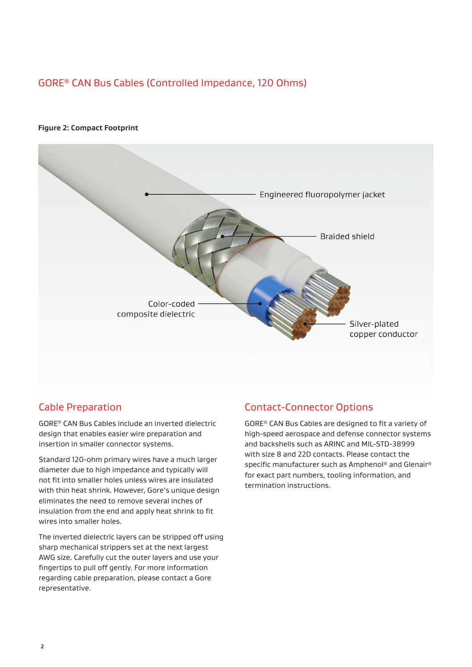# GORE® CAN Bus Cables (Controlled Impedance, 120 Ohms)

#### **Figure 2: Compact Footprint**



## Cable Preparation

GORE® CAN Bus Cables include an inverted dielectric design that enables easier wire preparation and insertion in smaller connector systems.

Standard 120-ohm primary wires have a much larger diameter due to high impedance and typically will not fit into smaller holes unless wires are insulated with thin heat shrink. However, Gore's unique design eliminates the need to remove several inches of insulation from the end and apply heat shrink to fit wires into smaller holes.

The inverted dielectric layers can be stripped off using sharp mechanical strippers set at the next largest AWG size. Carefully cut the outer layers and use your fingertips to pull off gently. For more information regarding cable preparation, please contact a Gore representative.

## Contact-Connector Options

GORE® CAN Bus Cables are designed to fit a variety of high-speed aerospace and defense connector systems and backshells such as ARINC and MIL-STD-38999 with size 8 and 22D contacts. Please contact the specific manufacturer such as Amphenol® and Glenair® for exact part numbers, tooling information, and termination instructions.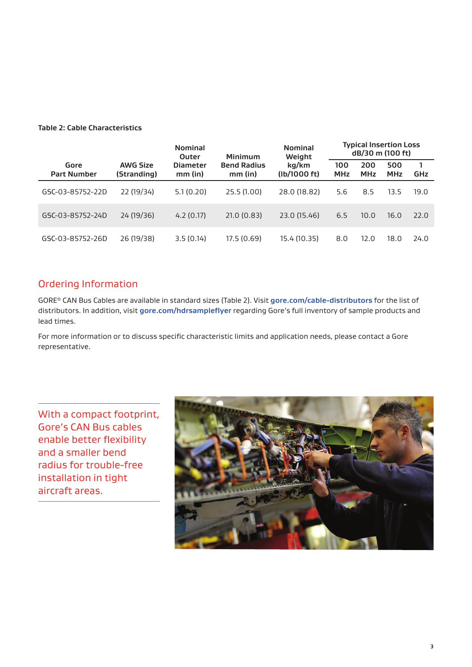### **Table 2: Cable Characteristics**

|                            |                                | <b>Nominal</b><br><b>Outer</b>            | <b>Nominal</b><br>Weight<br>Minimum |                       | <b>Typical Insertion Loss</b><br>dB/30 m (100 ft) |                   |                   |            |
|----------------------------|--------------------------------|-------------------------------------------|-------------------------------------|-----------------------|---------------------------------------------------|-------------------|-------------------|------------|
| Gore<br><b>Part Number</b> | <b>AWG Size</b><br>(Stranding) | <b>Diameter</b><br>$mm$ (in)<br>$mm$ (in) | <b>Bend Radius</b>                  | kg/km<br>(lb/1000 ft) | 100<br><b>MHz</b>                                 | 200<br><b>MHz</b> | 500<br><b>MHz</b> | <b>GHz</b> |
| GSC-03-85752-22D           | 22 (19/34)                     | 5.1(0.20)                                 | 25.5 (1.00)                         | 28.0 (18.82)          | 5.6                                               | 8.5               | 13.5              | 19.0       |
| GSC-03-85752-24D           | 24 (19/36)                     | 4.2(0.17)                                 | 21.0(0.83)                          | 23.0 (15.46)          | 6.5                                               | 10.0              | 16.0              | 22.0       |
| GSC-03-85752-26D           | 26 (19/38)                     | 3.5(0.14)                                 | 17.5 (0.69)                         | 15.4 (10.35)          | 8.0                                               | 12.0              | 18.0              | 24.0       |

## Ordering Information

GORE® CAN Bus Cables are available in standard sizes (Table 2). Visit **[gore.com/cable-distributors](http://gore.com/cable-distributors)** for the list of distributors. In addition, visit **[gore.com/hdrsampleflyer](https://www.gore.com/hdrsampleflyer)** regarding Gore's full inventory of sample products and lead times.

For more information or to discuss specific characteristic limits and application needs, please contact a Gore representative.

With a compact footprint, Gore's CAN Bus cables enable better flexibility and a smaller bend radius for trouble-free installation in tight aircraft areas.